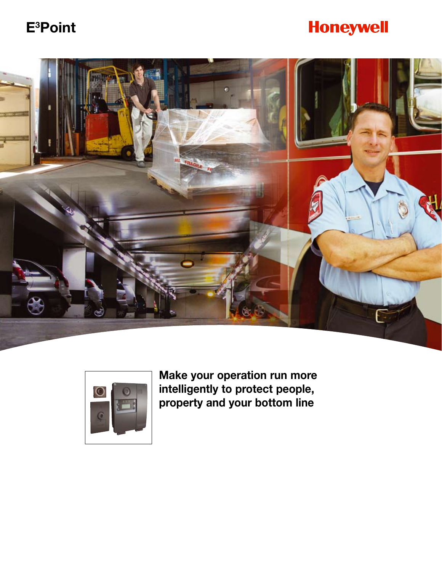# **E <sup>3</sup>Point**

# **Honeywell**





**Make your operation run more intelligently to protect people, property and your bottom line**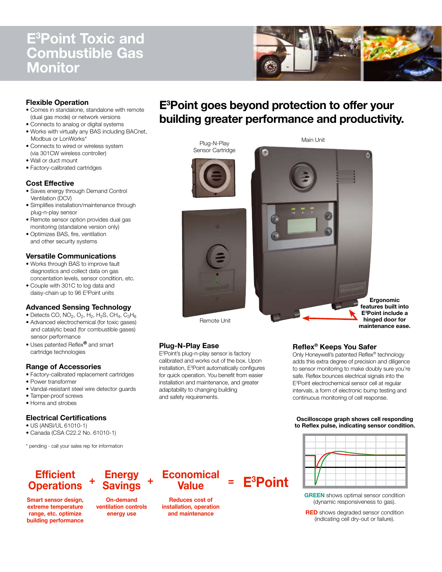## **E <sup>3</sup>Point Toxic and Combustible Gas Monitor**



### **Flexible Operation**

- Comes in standalone, standalone with remote (dual gas mode) or network versions
- Connects to analog or digital systems
- Works with virtually any BAS including BACnet, Modbus or LonWorks\*
- Connects to wired or wireless system (via 301CW wireless controller)
- Wall or duct mount
- Factory-calibrated cartridges

#### **Cost Effective**

- Saves energy through Demand Control Ventilation (DCV)
- Simplifies installation/maintenance through plug-n-play sensor
- Remote sensor option provides dual gas monitoring (standalone version only)
- Optimizes BAS, fire, ventilation and other security systems

#### **Versatile Communications**

- Works through BAS to improve fault diagnostics and collect data on gas concentation levels, sensor condition, etc.
- Couple with 301C to log data and daisy-chain up to 96 E<sup>3</sup>Point units

#### **Advanced Sensing Technology**

- Detects CO,  $NO<sub>2</sub>$ ,  $O<sub>2</sub>$ ,  $H<sub>2</sub>$ ,  $H<sub>2</sub>$ S,  $CH<sub>4</sub>$ ,  $C<sub>3</sub>H<sub>8</sub>$
- Advanced electrochemical (for toxic gases) and catalytic bead (for combustible gases) sensor performance
- Uses patented Reflex**®** and smart cartridge technologies

#### **Range of Accessories**

- Factory-calibrated replacement cartridges
- Power transformer
- Vandal-resistant steel wire detector guards
- Tamper-proof screws
- Horns and strobes

#### **Electrical Certifications**

- US (ANSI/UL 61010-1)
- Canada (CSA C22.2 No. 61010-1)

\* pending - call your sales rep for information

## **Efficient Operations**

**Smart sensor design, extreme temperature range, etc. optimize building performance**

#### **+ Energy Savings**

**+**

**On-demand ventilation controls energy use**



**= E <sup>3</sup>Point**

**Reduces cost of installation, operation and maintenance**

## **E <sup>3</sup>Point goes beyond protection to offer your building greater performance and productivity.**



### **Plug-N-Play Ease**

E <sup>3</sup>Point's plug-n-play sensor is factory calibrated and works out of the box. Upon installation, E3Point automatically configures for quick operation. You benefit from easier installation and maintenance, and greater adaptability to changing building and safety requirements.

**Ergonomic features built into E <sup>3</sup>Point include a hinged door for maintenance ease.**

### **Reflex® Keeps You Safer**

Only Honeywell's patented Reflex® technology adds this extra degree of precision and diligence to sensor monitoring to make doubly sure you're safe. Reflex bounces electrical signals into the E <sup>3</sup>Point electrochemical sensor cell at regular intervals, a form of electronic bump testing and continuous monitoring of cell response.

#### **Oscilloscope graph shows cell responding to Reflex pulse, indicating sensor condition.**



**GREEN** shows optimal sensor condition (dynamic responsiveness to gas).

**RED** shows degraded sensor condition (indicating cell dry-out or failure).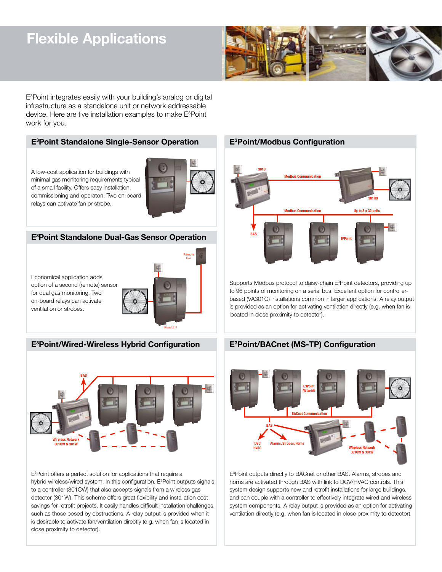# **Flexible Applications**



E <sup>3</sup>Point integrates easily with your building's analog or digital infrastructure as a standalone unit or network addressable device. Here are five installation examples to make E<sup>3</sup>Point work for you.

### **E <sup>3</sup>Point Standalone Single-Sensor Operation**

A low-cost application for buildings with minimal gas monitoring requirements typical of a small facility. Offers easy installation, commissioning and operaton. Two on-board relays can activate fan or strobe.



### **E <sup>3</sup>Point Standalone Dual-Gas Sensor Operation**

Economical application adds option of a second (remote) sensor for dual gas monitoring. Two on-board relays can activate ventilation or strobes.



### **E <sup>3</sup>Point/Wired-Wireless Hybrid Configuration**



E <sup>3</sup>Point offers a perfect solution for applications that require a hybrid wireless/wired system. In this configuration, E<sup>3</sup>Point outputs signals to a controller (301CW) that also accepts signals from a wireless gas detector (301W). This scheme offers great flexibility and installation cost savings for retrofit projects. It easily handles difficult installation challenges, such as those posed by obstructions. A relay output is provided when it is desirable to activate fan/ventilation directly (e.g. when fan is located in close proximity to detector).

### **E <sup>3</sup>Point/Modbus Configuration**



Supports Modbus protocol to daisy-chain E3Point detectors, providing up to 96 points of monitoring on a serial bus. Excellent option for controllerbased (VA301C) installations common in larger applications. A relay output is provided as an option for activating ventilation directly (e.g. when fan is located in close proximity to detector).

### **E <sup>3</sup>Point/BACnet (MS-TP) Configuration**



E <sup>3</sup>Point outputs directly to BACnet or other BAS. Alarms, strobes and horns are activated through BAS with link to DCV/HVAC controls. This system design supports new and retrofit installations for large buildings, and can couple with a controller to effectively integrate wired and wireless system components. A relay output is provided as an option for activating ventilation directly (e.g. when fan is located in close proximity to detector).